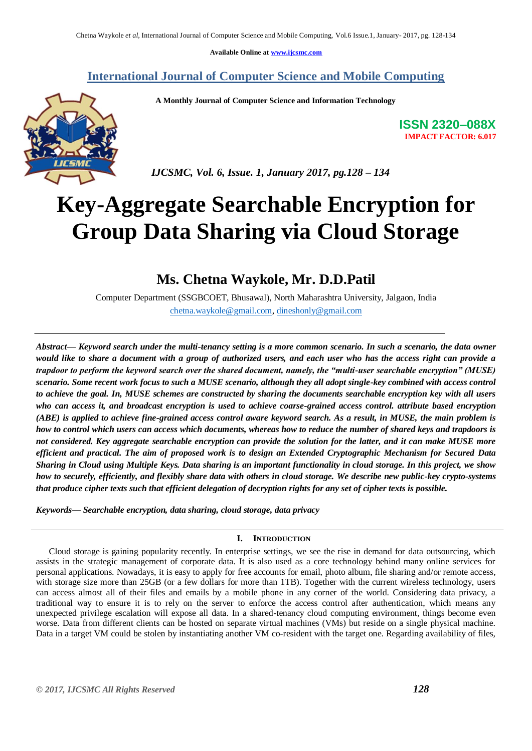**Available Online at [www.ijcsmc.com](http://www.ijcsmc.com/)**

**International Journal of Computer Science and Mobile Computing**

 **A Monthly Journal of Computer Science and Information Technology**



 *IJCSMC, Vol. 6, Issue. 1, January 2017, pg.128 – 134*

# **Key-Aggregate Searchable Encryption for Group Data Sharing via Cloud Storage**

# **Ms. Chetna Waykole, Mr. D.D.Patil**

Computer Department (SSGBCOET, Bhusawal), North Maharashtra University, Jalgaon, India [chetna.waykole@gmail.com,](mailto:chetna.waykole@gmail.com) [dineshonly@gmail.com](mailto:dineshonly@gmail.com)

*Abstract— Keyword search under the multi-tenancy setting is a more common scenario. In such a scenario, the data owner would like to share a document with a group of authorized users, and each user who has the access right can provide a trapdoor to perform the keyword search over the shared document, namely, the "multi-user searchable encryption" (MUSE) scenario. Some recent work focus to such a MUSE scenario, although they all adopt single-key combined with access control to achieve the goal. In, MUSE schemes are constructed by sharing the documents searchable encryption key with all users who can access it, and broadcast encryption is used to achieve coarse-grained access control. attribute based encryption (ABE) is applied to achieve fine-grained access control aware keyword search. As a result, in MUSE, the main problem is how to control which users can access which documents, whereas how to reduce the number of shared keys and trapdoors is not considered. Key aggregate searchable encryption can provide the solution for the latter, and it can make MUSE more efficient and practical. The aim of proposed work is to design an Extended Cryptographic Mechanism for Secured Data Sharing in Cloud using Multiple Keys. Data sharing is an important functionality in cloud storage. In this project, we show how to securely, efficiently, and flexibly share data with others in cloud storage. We describe new public-key crypto-systems that produce cipher texts such that efficient delegation of decryption rights for any set of cipher texts is possible.*

*Keywords— Searchable encryption, data sharing, cloud storage, data privacy*

### **I. INTRODUCTION**

Cloud storage is gaining popularity recently. In enterprise settings, we see the rise in demand for data outsourcing, which assists in the strategic management of corporate data. It is also used as a core technology behind many online services for personal applications. Nowadays, it is easy to apply for free accounts for email, photo album, file sharing and/or remote access, with storage size more than 25GB (or a few dollars for more than 1TB). Together with the current wireless technology, users can access almost all of their files and emails by a mobile phone in any corner of the world. Considering data privacy, a traditional way to ensure it is to rely on the server to enforce the access control after authentication, which means any unexpected privilege escalation will expose all data. In a shared-tenancy cloud computing environment, things become even worse. Data from different clients can be hosted on separate virtual machines (VMs) but reside on a single physical machine. Data in a target VM could be stolen by instantiating another VM co-resident with the target one. Regarding availability of files,

**ISSN 2320–088X IMPACT FACTOR: 6.017**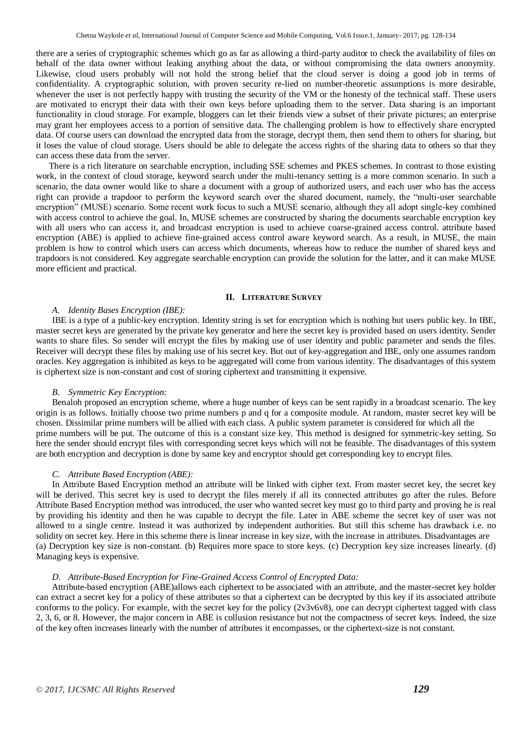there are a series of cryptographic schemes which go as far as allowing a third-party auditor to check the availability of files on behalf of the data owner without leaking anything about the data, or without compromising the data owners anonymity. Likewise, cloud users probably will not hold the strong belief that the cloud server is doing a good job in terms of confidentiality. A cryptographic solution, with proven security re-lied on number-theoretic assumptions is more desirable, whenever the user is not perfectly happy with trusting the security of the VM or the honesty of the technical staff. These users are motivated to encrypt their data with their own keys before uploading them to the server. Data sharing is an important functionality in cloud storage. For example, bloggers can let their friends view a subset of their private pictures; an enterprise may grant her employees access to a portion of sensitive data. The challenging problem is how to effectively share encrypted data. Of course users can download the encrypted data from the storage, decrypt them, then send them to others for sharing, but it loses the value of cloud storage. Users should be able to delegate the access rights of the sharing data to others so that they can access these data from the server.

There is a rich literature on searchable encryption, including SSE schemes and PKES schemes. In contrast to those existing work, in the context of cloud storage, keyword search under the multi-tenancy setting is a more common scenario. In such a scenario, the data owner would like to share a document with a group of authorized users, and each user who has the access right can provide a trapdoor to perform the keyword search over the shared document, namely, the "multi-user searchable encryption" (MUSE) scenario. Some recent work focus to such a MUSE scenario, although they all adopt single-key combined with access control to achieve the goal. In, MUSE schemes are constructed by sharing the documents searchable encryption key with all users who can access it, and broadcast encryption is used to achieve coarse-grained access control. attribute based encryption (ABE) is applied to achieve fine-grained access control aware keyword search. As a result, in MUSE, the main problem is how to control which users can access which documents, whereas how to reduce the number of shared keys and trapdoors is not considered. Key aggregate searchable encryption can provide the solution for the latter, and it can make MUSE more efficient and practical.

#### **II. LITERATURE SURVEY**

#### *A. Identity Bases Encryption (IBE):*

IBE is a type of a public-key encryption. Identity string is set for encryption which is nothing but users public key. In IBE, master secret keys are generated by the private key generator and here the secret key is provided based on users identity. Sender wants to share files. So sender will encrypt the files by making use of user identity and public parameter and sends the files. Receiver will decrypt these files by making use of his secret key. But out of key-aggregation and IBE, only one assumes random oracles. Key aggregation is inhibited as keys to be aggregated will come from various identity. The disadvantages of this system is ciphertext size is non-constant and cost of storing ciphertext and transmitting it expensive.

#### *B. Symmetric Key Encryption:*

Benaloh proposed an encryption scheme, where a huge number of keys can be sent rapidly in a broadcast scenario. The key origin is as follows. Initially choose two prime numbers p and q for a composite module. At random, master secret key will be chosen. Dissimilar prime numbers will be allied with each class. A public system parameter is considered for which all the prime numbers will be put. The outcome of this is a constant size key. This method is designed for symmetric-key setting. So here the sender should encrypt files with corresponding secret keys which will not be feasible. The disadvantages of this system are both encryption and decryption is done by same key and encryptor should get corresponding key to encrypt files.

#### *C. Attribute Based Encryption (ABE):*

In Attribute Based Encryption method an attribute will be linked with cipher text. From master secret key, the secret key will be derived. This secret key is used to decrypt the files merely if all its connected attributes go after the rules. Before Attribute Based Encryption method was introduced, the user who wanted secret key must go to third party and proving he is real by providing his identity and then he was capable to decrypt the file. Later in ABE scheme the secret key of user was not allowed to a single centre. Instead it was authorized by independent authorities. But still this scheme has drawback i.e. no solidity on secret key. Here in this scheme there is linear increase in key size, with the increase in attributes. Disadvantages are (a) Decryption key size is non-constant. (b) Requires more space to store keys. (c) Decryption key size increases linearly. (d) Managing keys is expensive.

#### *D. Attribute-Based Encryption for Fine-Grained Access Control of Encrypted Data:*

 Attribute-based encryption (ABE)allows each ciphertext to be associated with an attribute, and the master-secret key holder can extract a secret key for a policy of these attributes so that a ciphertext can be decrypted by this key if its associated attribute conforms to the policy. For example, with the secret key for the policy (2v3v6v8), one can decrypt ciphertext tagged with class 2, 3, 6, or 8. However, the major concern in ABE is collusion resistance but not the compactness of secret keys. Indeed, the size of the key often increases linearly with the number of attributes it encompasses, or the ciphertext-size is not constant.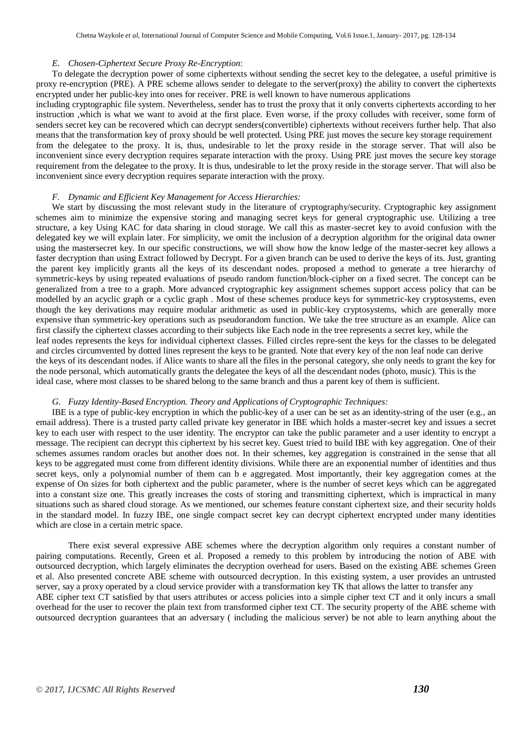#### *E. Chosen-Ciphertext Secure Proxy Re-Encryption*:

To delegate the decryption power of some ciphertexts without sending the secret key to the delegatee, a useful primitive is proxy re-encryption (PRE). A PRE scheme allows sender to delegate to the server(proxy) the ability to convert the ciphertexts encrypted under her public-key into ones for receiver. PRE is well known to have numerous applications

including cryptographic file system. Nevertheless, sender has to trust the proxy that it only converts ciphertexts according to her instruction ,which is what we want to avoid at the first place. Even worse, if the proxy colludes with receiver, some form of senders secret key can be recovered which can decrypt senders(convertible) ciphertexts without receivers further help. That also means that the transformation key of proxy should be well protected. Using PRE just moves the secure key storage requirement from the delegatee to the proxy. It is, thus, undesirable to let the proxy reside in the storage server. That will also be inconvenient since every decryption requires separate interaction with the proxy. Using PRE just moves the secure key storage requirement from the delegatee to the proxy. It is thus, undesirable to let the proxy reside in the storage server. That will also be inconvenient since every decryption requires separate interaction with the proxy.

#### *F. Dynamic and Efficient Key Management for Access Hierarchies:*

We start by discussing the most relevant study in the literature of cryptography/security. Cryptographic key assignment schemes aim to minimize the expensive storing and managing secret keys for general cryptographic use. Utilizing a tree structure, a key Using KAC for data sharing in cloud storage. We call this as master-secret key to avoid confusion with the delegated key we will explain later. For simplicity, we omit the inclusion of a decryption algorithm for the original data owner using the mastersecret key. In our specific constructions, we will show how the know ledge of the master-secret key allows a faster decryption than using Extract followed by Decrypt. For a given branch can be used to derive the keys of its. Just, granting the parent key implicitly grants all the keys of its descendant nodes. proposed a method to generate a tree hierarchy of symmetric-keys by using repeated evaluations of pseudo random function/block-cipher on a fixed secret. The concept can be generalized from a tree to a graph. More advanced cryptographic key assignment schemes support access policy that can be modelled by an acyclic graph or a cyclic graph. Most of these schemes produce keys for symmetric-key cryptosystems, even though the key derivations may require modular arithmetic as used in public-key cryptosystems, which are generally more expensive than symmetric-key operations such as pseudorandom function. We take the tree structure as an example. Alice can first classify the ciphertext classes according to their subjects like Each node in the tree represents a secret key, while the leaf nodes represents the keys for individual ciphertext classes. Filled circles repre-sent the keys for the classes to be delegated and circles circumvented by dotted lines represent the keys to be granted. Note that every key of the non leaf node can derive the keys of its descendant nodes. if Alice wants to share all the files in the personal category, she only needs to grant the key for the node personal, which automatically grants the delegatee the keys of all the descendant nodes (photo, music). This is the ideal case, where most classes to be shared belong to the same branch and thus a parent key of them is sufficient.

#### *G. Fuzzy Identity-Based Encryption. Theory and Applications of Cryptographic Techniques:*

 IBE is a type of public-key encryption in which the public-key of a user can be set as an identity-string of the user (e.g., an email address). There is a trusted party called private key generator in IBE which holds a master-secret key and issues a secret key to each user with respect to the user identity. The encryptor can take the public parameter and a user identity to encrypt a message. The recipient can decrypt this ciphertext by his secret key. Guest tried to build IBE with key aggregation. One of their schemes assumes random oracles but another does not. In their schemes, key aggregation is constrained in the sense that all keys to be aggregated must come from different identity divisions. While there are an exponential number of identities and thus secret keys, only a polynomial number of them can b e aggregated. Most importantly, their key aggregation comes at the expense of On sizes for both ciphertext and the public parameter, where is the number of secret keys which can be aggregated into a constant size one. This greatly increases the costs of storing and transmitting ciphertext, which is impractical in many situations such as shared cloud storage. As we mentioned, our schemes feature constant ciphertext size, and their security holds in the standard model. In fuzzy IBE, one single compact secret key can decrypt ciphertext encrypted under many identities which are close in a certain metric space.

There exist several expressive ABE schemes where the decryption algorithm only requires a constant number of pairing computations. Recently, Green et al. Proposed a remedy to this problem by introducing the notion of ABE with outsourced decryption, which largely eliminates the decryption overhead for users. Based on the existing ABE schemes Green et al. Also presented concrete ABE scheme with outsourced decryption. In this existing system, a user provides an untrusted server, say a proxy operated by a cloud service provider with a transformation key TK that allows the latter to transfer any ABE cipher text CT satisfied by that users attributes or access policies into a simple cipher text CT and it only incurs a small overhead for the user to recover the plain text from transformed cipher text CT. The security property of the ABE scheme with

outsourced decryption guarantees that an adversary ( including the malicious server) be not able to learn anything about the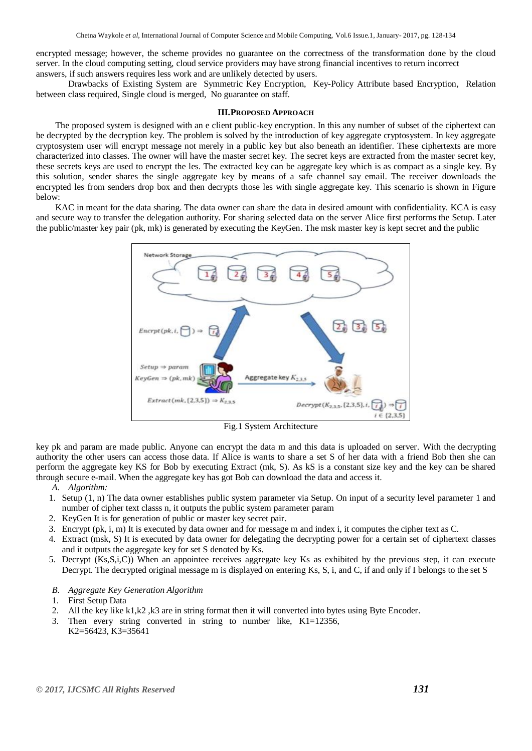encrypted message; however, the scheme provides no guarantee on the correctness of the transformation done by the cloud server. In the cloud computing setting, cloud service providers may have strong financial incentives to return incorrect answers, if such answers requires less work and are unlikely detected by users.

Drawbacks of Existing System are Symmetric Key Encryption, Key-Policy Attribute based Encryption, Relation between class required, Single cloud is merged, No guarantee on staff.

#### **III.PROPOSED APPROACH**

The proposed system is designed with an e client public-key encryption. In this any number of subset of the ciphertext can be decrypted by the decryption key. The problem is solved by the introduction of key aggregate cryptosystem. In key aggregate cryptosystem user will encrypt message not merely in a public key but also beneath an identifier. These ciphertexts are more characterized into classes. The owner will have the master secret key. The secret keys are extracted from the master secret key, these secrets keys are used to encrypt the les. The extracted key can be aggregate key which is as compact as a single key. By this solution, sender shares the single aggregate key by means of a safe channel say email. The receiver downloads the encrypted les from senders drop box and then decrypts those les with single aggregate key. This scenario is shown in Figure below:

KAC in meant for the data sharing. The data owner can share the data in desired amount with confidentiality. KCA is easy and secure way to transfer the delegation authority. For sharing selected data on the server Alice first performs the Setup. Later the public/master key pair (pk, mk) is generated by executing the KeyGen. The msk master key is kept secret and the public



Fig.1 System Architecture

key pk and param are made public. Anyone can encrypt the data m and this data is uploaded on server. With the decrypting authority the other users can access those data. If Alice is wants to share a set S of her data with a friend Bob then she can perform the aggregate key KS for Bob by executing Extract (mk, S). As kS is a constant size key and the key can be shared through secure e-mail. When the aggregate key has got Bob can download the data and access it.

#### *A. Algorithm:*

- 1. Setup (1, n) The data owner establishes public system parameter via Setup. On input of a security level parameter 1 and number of cipher text classs n, it outputs the public system parameter param
- 2. KeyGen It is for generation of public or master key secret pair.
- 3. Encrypt (pk, i, m) It is executed by data owner and for message m and index i, it computes the cipher text as C.
- 4. Extract (msk, S) It is executed by data owner for delegating the decrypting power for a certain set of ciphertext classes and it outputs the aggregate key for set S denoted by Ks.
- 5. Decrypt (Ks,S,i,C)) When an appointee receives aggregate key Ks as exhibited by the previous step, it can execute Decrypt. The decrypted original message m is displayed on entering Ks, S, i, and C, if and only if I belongs to the set S
- *B. Aggregate Key Generation Algorithm*
- 1. First Setup Data
- 2. All the key like k1,k2 ,k3 are in string format then it will converted into bytes using Byte Encoder.
- 3. Then every string converted in string to number like, K1=12356, K2=56423, K3=35641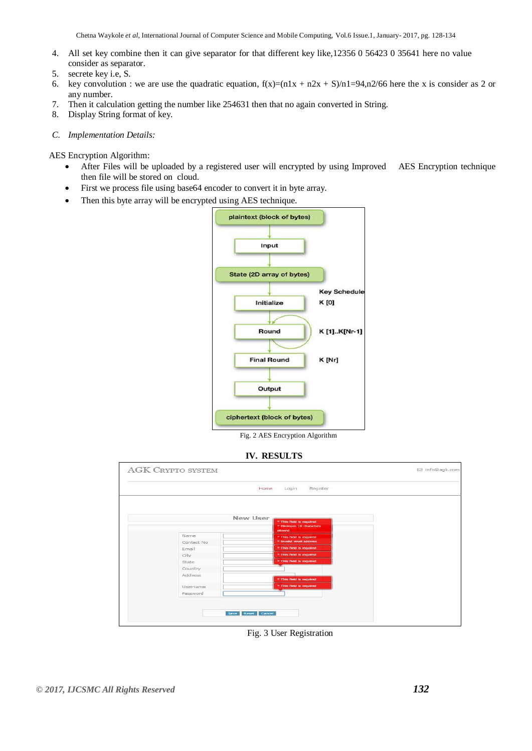- 4. All set key combine then it can give separator for that different key like,12356 0 56423 0 35641 here no value consider as separator.
- 5. secrete key i.e, S.
- 6. key convolution : we are use the quadratic equation,  $f(x)=(n1x + n2x + S)/n1=94, n2/66$  here the x is consider as 2 or any number.
- 7. Then it calculation getting the number like 254631 then that no again converted in String.
- 8. Display String format of key.

#### *C. Implementation Details:*

#### AES Encryption Algorithm:

- After Files will be uploaded by a registered user will encrypted by using Improved AES Encryption technique then file will be stored on cloud.
- First we process file using base64 encoder to convert it in byte array.
- Then this byte array will be encrypted using AES technique.



Fig. 2 AES Encryption Algorithm

#### **IV. RESULTS**



Fig. 3 User Registration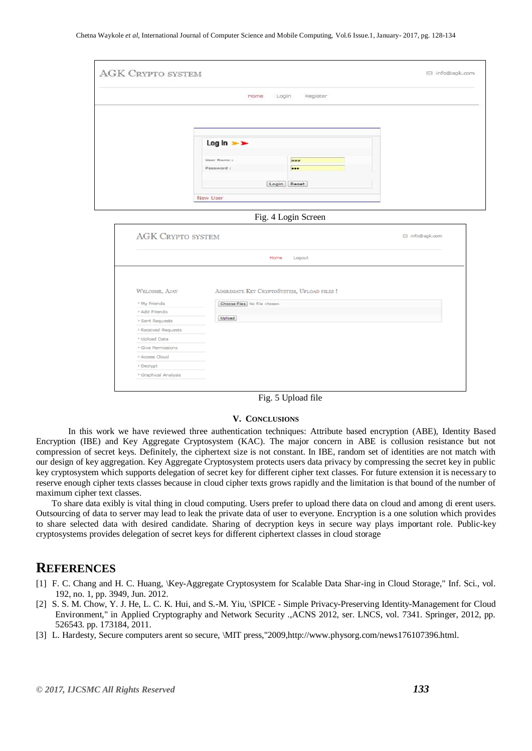| Register<br>Home<br>Login<br>$Log ln$ $\rightarrow$<br>User Name :<br>aaa<br>Password:<br><br>Login   Reset<br>New User<br>Fig. 4 Login Screen<br><b>AGK CRYPTO SYSTEM</b><br><b>⊠</b> info@agk.com<br>Home<br>Logout<br>AGGREGATE KEY CRYPTOSYSTEM, UPLOAD FILES !<br>WELCOME, AJAY<br><sup>3</sup> My Friends<br>Choose Files No file chosen<br>» Add Friends<br>Upload<br>> Sent Requests<br>> Received Requests |                             | <b>AGK CRYPTO SYSTEM</b> | □ info@agk.com |
|---------------------------------------------------------------------------------------------------------------------------------------------------------------------------------------------------------------------------------------------------------------------------------------------------------------------------------------------------------------------------------------------------------------------|-----------------------------|--------------------------|----------------|
|                                                                                                                                                                                                                                                                                                                                                                                                                     |                             |                          |                |
|                                                                                                                                                                                                                                                                                                                                                                                                                     |                             |                          |                |
|                                                                                                                                                                                                                                                                                                                                                                                                                     |                             |                          |                |
|                                                                                                                                                                                                                                                                                                                                                                                                                     |                             |                          |                |
|                                                                                                                                                                                                                                                                                                                                                                                                                     |                             |                          |                |
|                                                                                                                                                                                                                                                                                                                                                                                                                     |                             |                          |                |
|                                                                                                                                                                                                                                                                                                                                                                                                                     |                             |                          |                |
|                                                                                                                                                                                                                                                                                                                                                                                                                     |                             |                          |                |
|                                                                                                                                                                                                                                                                                                                                                                                                                     |                             |                          |                |
|                                                                                                                                                                                                                                                                                                                                                                                                                     |                             |                          |                |
|                                                                                                                                                                                                                                                                                                                                                                                                                     |                             |                          |                |
|                                                                                                                                                                                                                                                                                                                                                                                                                     |                             |                          |                |
|                                                                                                                                                                                                                                                                                                                                                                                                                     |                             |                          |                |
|                                                                                                                                                                                                                                                                                                                                                                                                                     |                             |                          |                |
|                                                                                                                                                                                                                                                                                                                                                                                                                     |                             |                          |                |
|                                                                                                                                                                                                                                                                                                                                                                                                                     |                             |                          |                |
|                                                                                                                                                                                                                                                                                                                                                                                                                     |                             |                          |                |
|                                                                                                                                                                                                                                                                                                                                                                                                                     |                             |                          |                |
|                                                                                                                                                                                                                                                                                                                                                                                                                     |                             |                          |                |
|                                                                                                                                                                                                                                                                                                                                                                                                                     |                             |                          |                |
|                                                                                                                                                                                                                                                                                                                                                                                                                     |                             |                          |                |
|                                                                                                                                                                                                                                                                                                                                                                                                                     | <sup>&gt;</sup> Upload Data |                          |                |

Fig. 5 Upload file

#### **V. CONCLUSIONS**

In this work we have reviewed three authentication techniques: Attribute based encryption (ABE), Identity Based Encryption (IBE) and Key Aggregate Cryptosystem (KAC). The major concern in ABE is collusion resistance but not compression of secret keys. Definitely, the ciphertext size is not constant. In IBE, random set of identities are not match with our design of key aggregation. Key Aggregate Cryptosystem protects users data privacy by compressing the secret key in public key cryptosystem which supports delegation of secret key for different cipher text classes. For future extension it is necessary to reserve enough cipher texts classes because in cloud cipher texts grows rapidly and the limitation is that bound of the number of maximum cipher text classes.

To share data exibly is vital thing in cloud computing. Users prefer to upload there data on cloud and among di erent users. Outsourcing of data to server may lead to leak the private data of user to everyone. Encryption is a one solution which provides to share selected data with desired candidate. Sharing of decryption keys in secure way plays important role. Public-key cryptosystems provides delegation of secret keys for different ciphertext classes in cloud storage

## **REFERENCES**

- [1] F. C. Chang and H. C. Huang, \Key-Aggregate Cryptosystem for Scalable Data Shar-ing in Cloud Storage," Inf. Sci., vol. 192, no. 1, pp. 3949, Jun. 2012.
- [2] S. S. M. Chow, Y. J. He, L. C. K. Hui, and S.-M. Yiu, \SPICE Simple Privacy-Preserving Identity-Management for Cloud Environment," in Applied Cryptography and Network Security .,ACNS 2012, ser. LNCS, vol. 7341. Springer, 2012, pp. 526543. pp. 173184, 2011.
- [3] L. Hardesty, Secure computers arent so secure, \MIT press,"2009,http://www.physorg.com/news176107396.html.

> Access Cloud > Decrypt <sup>\*</sup> Graphical Analysis